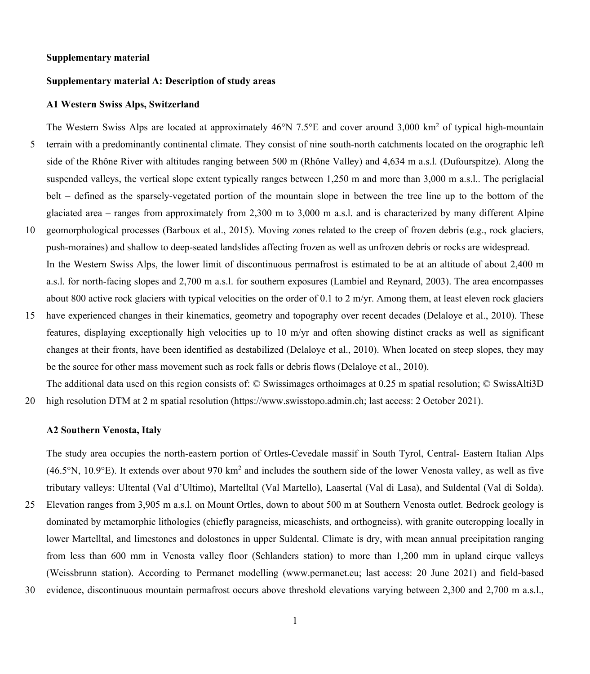# **Supplementary material**

# **Supplementary material A: Description of study areas**

### **A1 Western Swiss Alps, Switzerland**

The Western Swiss Alps are located at approximately  $46^{\circ}N$  7.5°E and cover around 3,000 km<sup>2</sup> of typical high-mountain 5 terrain with a predominantly continental climate. They consist of nine south-north catchments located on the orographic left side of the Rhône River with altitudes ranging between 500 m (Rhône Valley) and 4,634 m a.s.l. (Dufourspitze). Along the suspended valleys, the vertical slope extent typically ranges between 1,250 m and more than 3,000 m a.s.l.. The periglacial belt – defined as the sparsely-vegetated portion of the mountain slope in between the tree line up to the bottom of the glaciated area – ranges from approximately from 2,300 m to 3,000 m a.s.l. and is characterized by many different Alpine

- 10 geomorphological processes (Barboux et al., 2015). Moving zones related to the creep of frozen debris (e.g., rock glaciers, push-moraines) and shallow to deep-seated landslides affecting frozen as well as unfrozen debris or rocks are widespread. In the Western Swiss Alps, the lower limit of discontinuous permafrost is estimated to be at an altitude of about 2,400 m a.s.l. for north-facing slopes and 2,700 m a.s.l. for southern exposures (Lambiel and Reynard, 2003). The area encompasses about 800 active rock glaciers with typical velocities on the order of 0.1 to 2 m/yr. Among them, at least eleven rock glaciers
- 15 have experienced changes in their kinematics, geometry and topography over recent decades (Delaloye et al., 2010). These features, displaying exceptionally high velocities up to 10 m/yr and often showing distinct cracks as well as significant changes at their fronts, have been identified as destabilized (Delaloye et al., 2010). When located on steep slopes, they may be the source for other mass movement such as rock falls or debris flows (Delaloye et al., 2010).

The additional data used on this region consists of: © Swissimages orthoimages at 0.25 m spatial resolution; © SwissAlti3D 20 high resolution DTM at 2 m spatial resolution (https://www.swisstopo.admin.ch; last access: 2 October 2021).

### **A2 Southern Venosta, Italy**

The study area occupies the north-eastern portion of Ortles-Cevedale massif in South Tyrol, Central- Eastern Italian Alps  $(46.5\textdegree N, 10.9\textdegree E)$ . It extends over about 970 km<sup>2</sup> and includes the southern side of the lower Venosta valley, as well as five tributary valleys: Ultental (Val d'Ultimo), Martelltal (Val Martello), Laasertal (Val di Lasa), and Suldental (Val di Solda).

25 Elevation ranges from 3,905 m a.s.l. on Mount Ortles, down to about 500 m at Southern Venosta outlet. Bedrock geology is dominated by metamorphic lithologies (chiefly paragneiss, micaschists, and orthogneiss), with granite outcropping locally in lower Martelltal, and limestones and dolostones in upper Suldental. Climate is dry, with mean annual precipitation ranging from less than 600 mm in Venosta valley floor (Schlanders station) to more than 1,200 mm in upland cirque valleys (Weissbrunn station). According to Permanet modelling (www.permanet.eu; last access: 20 June 2021) and field-based

30 evidence, discontinuous mountain permafrost occurs above threshold elevations varying between 2,300 and 2,700 m a.s.l.,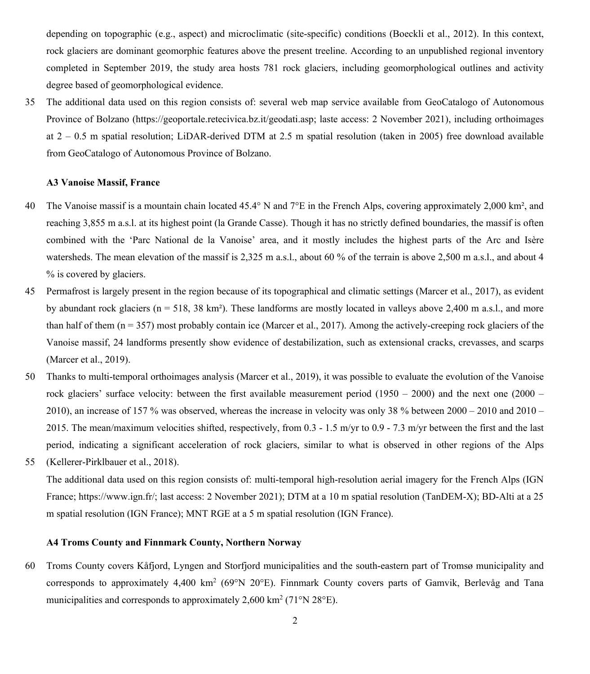depending on topographic (e.g., aspect) and microclimatic (site-specific) conditions (Boeckli et al., 2012). In this context, rock glaciers are dominant geomorphic features above the present treeline. According to an unpublished regional inventory completed in September 2019, the study area hosts 781 rock glaciers, including geomorphological outlines and activity degree based of geomorphological evidence.

35 The additional data used on this region consists of: several web map service available from GeoCatalogo of Autonomous Province of Bolzano (https://geoportale.retecivica.bz.it/geodati.asp; laste access: 2 November 2021), including orthoimages at 2 – 0.5 m spatial resolution; LiDAR-derived DTM at 2.5 m spatial resolution (taken in 2005) free download available from GeoCatalogo of Autonomous Province of Bolzano.

# **A3 Vanoise Massif, France**

- 40 The Vanoise massif is a mountain chain located 45.4° N and  $7^{\circ}E$  in the French Alps, covering approximately 2,000 km<sup>2</sup>, and reaching 3,855 m a.s.l. at its highest point (la Grande Casse). Though it has no strictly defined boundaries, the massif is often combined with the 'Parc National de la Vanoise' area, and it mostly includes the highest parts of the Arc and Isère watersheds. The mean elevation of the massif is 2,325 m a.s.l., about 60 % of the terrain is above 2,500 m a.s.l., and about 4 % is covered by glaciers.
- 45 Permafrost is largely present in the region because of its topographical and climatic settings (Marcer et al., 2017), as evident by abundant rock glaciers ( $n = 518, 38$  km<sup>2</sup>). These landforms are mostly located in valleys above 2,400 m a.s.l., and more than half of them ( $n = 357$ ) most probably contain ice (Marcer et al., 2017). Among the actively-creeping rock glaciers of the Vanoise massif, 24 landforms presently show evidence of destabilization, such as extensional cracks, crevasses, and scarps (Marcer et al., 2019).
- 50 Thanks to multi-temporal orthoimages analysis (Marcer et al., 2019), it was possible to evaluate the evolution of the Vanoise rock glaciers' surface velocity: between the first available measurement period  $(1950 - 2000)$  and the next one  $(2000 -$ 2010), an increase of 157 % was observed, whereas the increase in velocity was only 38 % between 2000 – 2010 and 2010 – 2015. The mean/maximum velocities shifted, respectively, from 0.3 - 1.5 m/yr to 0.9 - 7.3 m/yr between the first and the last period, indicating a significant acceleration of rock glaciers, similar to what is observed in other regions of the Alps 55 (Kellerer-Pirklbauer et al., 2018).
- The additional data used on this region consists of: multi-temporal high-resolution aerial imagery for the French Alps (IGN France; https://www.ign.fr/; last access: 2 November 2021); DTM at a 10 m spatial resolution (TanDEM-X); BD-Alti at a 25 m spatial resolution (IGN France); MNT RGE at a 5 m spatial resolution (IGN France).

# **A4 Troms County and Finnmark County, Northern Norway**

60 Troms County covers Kåfjord, Lyngen and Storfjord municipalities and the south-eastern part of Tromsø municipality and corresponds to approximately  $4,400 \text{ km}^2$  (69°N 20°E). Finnmark County covers parts of Gamvik, Berlevåg and Tana municipalities and corresponds to approximately  $2,600 \text{ km}^2$  (71°N 28°E).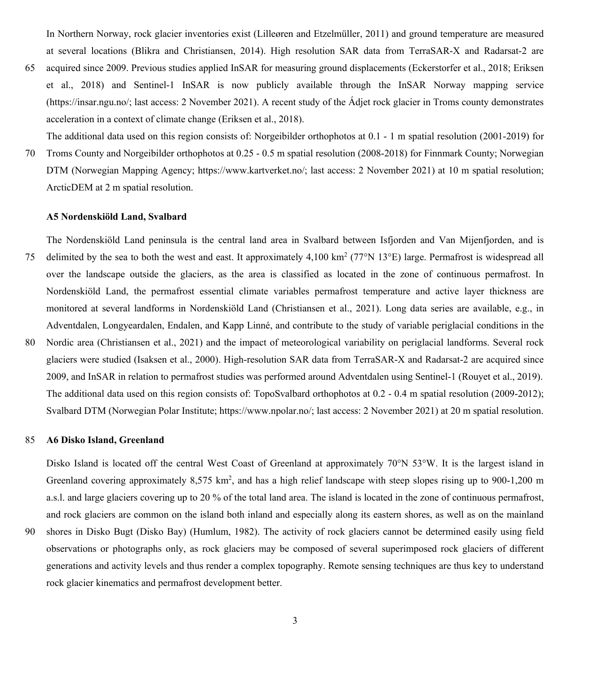In Northern Norway, rock glacier inventories exist (Lilleøren and Etzelmüller, 2011) and ground temperature are measured at several locations (Blikra and Christiansen, 2014). High resolution SAR data from TerraSAR-X and Radarsat-2 are

65 acquired since 2009. Previous studies applied InSAR for measuring ground displacements (Eckerstorfer et al., 2018; Eriksen et al., 2018) and Sentinel-1 InSAR is now publicly available through the InSAR Norway mapping service (https://insar.ngu.no/; last access: 2 November 2021). A recent study of the Ádjet rock glacier in Troms county demonstrates acceleration in a context of climate change (Eriksen et al., 2018).

The additional data used on this region consists of: Norgeibilder orthophotos at 0.1 - 1 m spatial resolution (2001-2019) for 70 Troms County and Norgeibilder orthophotos at 0.25 - 0.5 m spatial resolution (2008-2018) for Finnmark County; Norwegian DTM (Norwegian Mapping Agency; https://www.kartverket.no/; last access: 2 November 2021) at 10 m spatial resolution; ArcticDEM at 2 m spatial resolution.

### **A5 Nordenskiöld Land, Svalbard**

The Nordenskiöld Land peninsula is the central land area in Svalbard between Isfjorden and Van Mijenfjorden, and is 75 delimited by the sea to both the west and east. It approximately 4,100 km<sup>2</sup> (77°N 13°E) large. Permafrost is widespread all over the landscape outside the glaciers, as the area is classified as located in the zone of continuous permafrost. In Nordenskiöld Land, the permafrost essential climate variables permafrost temperature and active layer thickness are monitored at several landforms in Nordenskiöld Land (Christiansen et al., 2021). Long data series are available, e.g., in Adventdalen, Longyeardalen, Endalen, and Kapp Linné, and contribute to the study of variable periglacial conditions in the 80 Nordic area (Christiansen et al., 2021) and the impact of meteorological variability on periglacial landforms. Several rock

glaciers were studied (Isaksen et al., 2000). High-resolution SAR data from TerraSAR-X and Radarsat-2 are acquired since 2009, and InSAR in relation to permafrost studies was performed around Adventdalen using Sentinel-1 (Rouyet et al., 2019). The additional data used on this region consists of: TopoSvalbard orthophotos at 0.2 - 0.4 m spatial resolution (2009-2012); Svalbard DTM (Norwegian Polar Institute; https://www.npolar.no/; last access: 2 November 2021) at 20 m spatial resolution.

### 85 **A6 Disko Island, Greenland**

Disko Island is located off the central West Coast of Greenland at approximately 70°N 53°W. It is the largest island in Greenland covering approximately 8,575 km<sup>2</sup>, and has a high relief landscape with steep slopes rising up to 900-1,200 m a.s.l. and large glaciers covering up to 20 % of the total land area. The island is located in the zone of continuous permafrost, and rock glaciers are common on the island both inland and especially along its eastern shores, as well as on the mainland

90 shores in Disko Bugt (Disko Bay) (Humlum, 1982). The activity of rock glaciers cannot be determined easily using field observations or photographs only, as rock glaciers may be composed of several superimposed rock glaciers of different generations and activity levels and thus render a complex topography. Remote sensing techniques are thus key to understand rock glacier kinematics and permafrost development better.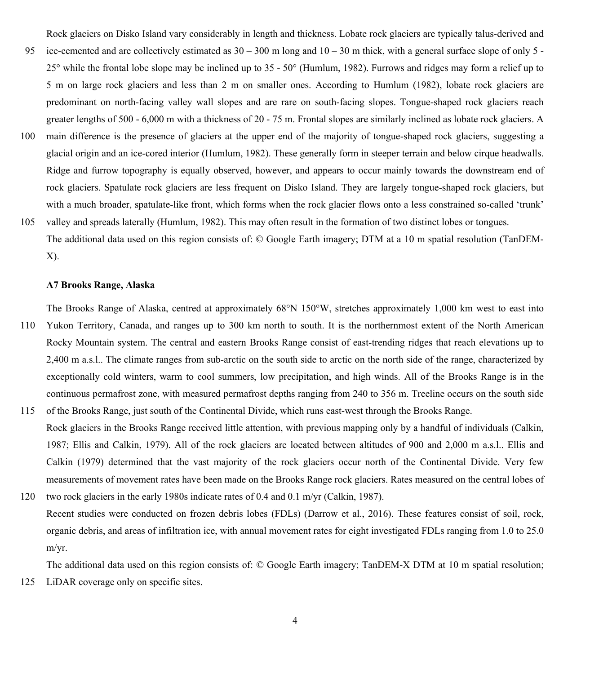Rock glaciers on Disko Island vary considerably in length and thickness. Lobate rock glaciers are typically talus-derived and

- 95 ice-cemented and are collectively estimated as  $30 300$  m long and  $10 30$  m thick, with a general surface slope of only 5 -25° while the frontal lobe slope may be inclined up to 35 - 50° (Humlum, 1982). Furrows and ridges may form a relief up to 5 m on large rock glaciers and less than 2 m on smaller ones. According to Humlum (1982), lobate rock glaciers are predominant on north-facing valley wall slopes and are rare on south-facing slopes. Tongue-shaped rock glaciers reach greater lengths of 500 - 6,000 m with a thickness of 20 - 75 m. Frontal slopes are similarly inclined as lobate rock glaciers. A
- 100 main difference is the presence of glaciers at the upper end of the majority of tongue-shaped rock glaciers, suggesting a glacial origin and an ice-cored interior (Humlum, 1982). These generally form in steeper terrain and below cirque headwalls. Ridge and furrow topography is equally observed, however, and appears to occur mainly towards the downstream end of rock glaciers. Spatulate rock glaciers are less frequent on Disko Island. They are largely tongue-shaped rock glaciers, but with a much broader, spatulate-like front, which forms when the rock glacier flows onto a less constrained so-called 'trunk'
- 105 valley and spreads laterally (Humlum, 1982). This may often result in the formation of two distinct lobes or tongues. The additional data used on this region consists of: © Google Earth imagery; DTM at a 10 m spatial resolution (TanDEM-X).

## **A7 Brooks Range, Alaska**

The Brooks Range of Alaska, centred at approximately 68°N 150°W, stretches approximately 1,000 km west to east into

- 110 Yukon Territory, Canada, and ranges up to 300 km north to south. It is the northernmost extent of the North American Rocky Mountain system. The central and eastern Brooks Range consist of east-trending ridges that reach elevations up to 2,400 m a.s.l.. The climate ranges from sub-arctic on the south side to arctic on the north side of the range, characterized by exceptionally cold winters, warm to cool summers, low precipitation, and high winds. All of the Brooks Range is in the continuous permafrost zone, with measured permafrost depths ranging from 240 to 356 m. Treeline occurs on the south side
- 115 of the Brooks Range, just south of the Continental Divide, which runs east-west through the Brooks Range. Rock glaciers in the Brooks Range received little attention, with previous mapping only by a handful of individuals (Calkin, 1987; Ellis and Calkin, 1979). All of the rock glaciers are located between altitudes of 900 and 2,000 m a.s.l.. Ellis and Calkin (1979) determined that the vast majority of the rock glaciers occur north of the Continental Divide. Very few measurements of movement rates have been made on the Brooks Range rock glaciers. Rates measured on the central lobes of
- 120 two rock glaciers in the early 1980s indicate rates of 0.4 and 0.1 m/yr (Calkin, 1987). Recent studies were conducted on frozen debris lobes (FDLs) (Darrow et al., 2016). These features consist of soil, rock, organic debris, and areas of infiltration ice, with annual movement rates for eight investigated FDLs ranging from 1.0 to 25.0 m/yr.

The additional data used on this region consists of: © Google Earth imagery; TanDEM-X DTM at 10 m spatial resolution; 125 LiDAR coverage only on specific sites.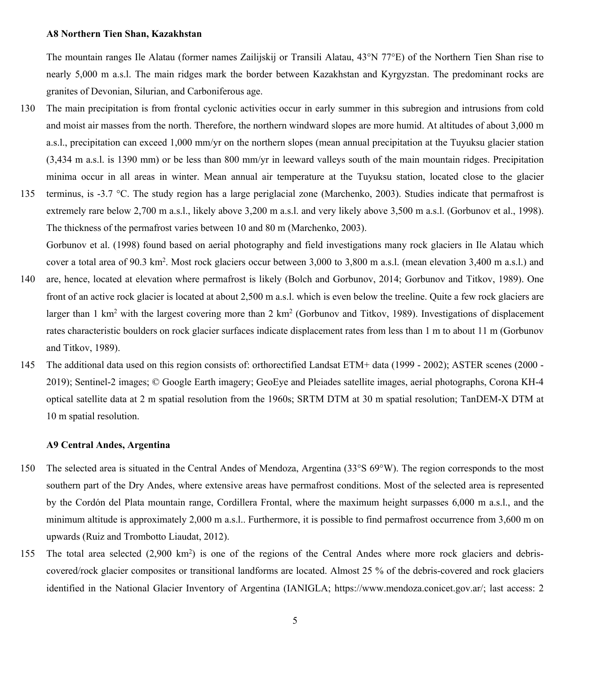### **A8 Northern Tien Shan, Kazakhstan**

The mountain ranges Ile Alatau (former names Zailijskij or Transili Alatau, 43°N 77°E) of the Northern Tien Shan rise to nearly 5,000 m a.s.l. The main ridges mark the border between Kazakhstan and Kyrgyzstan. The predominant rocks are granites of Devonian, Silurian, and Carboniferous age.

- 130 The main precipitation is from frontal cyclonic activities occur in early summer in this subregion and intrusions from cold and moist air masses from the north. Therefore, the northern windward slopes are more humid. At altitudes of about 3,000 m a.s.l., precipitation can exceed 1,000 mm/yr on the northern slopes (mean annual precipitation at the Tuyuksu glacier station (3,434 m a.s.l. is 1390 mm) or be less than 800 mm/yr in leeward valleys south of the main mountain ridges. Precipitation minima occur in all areas in winter. Mean annual air temperature at the Tuyuksu station, located close to the glacier
- 135 terminus, is -3.7 °C. The study region has a large periglacial zone (Marchenko, 2003). Studies indicate that permafrost is extremely rare below 2,700 m a.s.l., likely above 3,200 m a.s.l. and very likely above 3,500 m a.s.l. (Gorbunov et al., 1998). The thickness of the permafrost varies between 10 and 80 m (Marchenko, 2003). Gorbunov et al. (1998) found based on aerial photography and field investigations many rock glaciers in Ile Alatau which
- cover a total area of  $90.3 \text{ km}^2$ . Most rock glaciers occur between  $3,000$  to  $3,800$  m a.s.l. (mean elevation  $3,400$  m a.s.l.) and 140 are, hence, located at elevation where permafrost is likely (Bolch and Gorbunov, 2014; Gorbunov and Titkov, 1989). One front of an active rock glacier is located at about 2,500 m a.s.l. which is even below the treeline. Quite a few rock glaciers are larger than 1 km<sup>2</sup> with the largest covering more than 2 km<sup>2</sup> (Gorbunov and Titkov, 1989). Investigations of displacement rates characteristic boulders on rock glacier surfaces indicate displacement rates from less than 1 m to about 11 m (Gorbunov and Titkov, 1989).
- 145 The additional data used on this region consists of: orthorectified Landsat ETM+ data (1999 2002); ASTER scenes (2000 2019); Sentinel-2 images; © Google Earth imagery; GeoEye and Pleiades satellite images, aerial photographs, Corona KH-4 optical satellite data at 2 m spatial resolution from the 1960s; SRTM DTM at 30 m spatial resolution; TanDEM-X DTM at 10 m spatial resolution.

### **A9 Central Andes, Argentina**

- 150 The selected area is situated in the Central Andes of Mendoza, Argentina (33°S 69°W). The region corresponds to the most southern part of the Dry Andes, where extensive areas have permafrost conditions. Most of the selected area is represented by the Cordón del Plata mountain range, Cordillera Frontal, where the maximum height surpasses 6,000 m a.s.l., and the minimum altitude is approximately 2,000 m a.s.l.. Furthermore, it is possible to find permafrost occurrence from 3,600 m on upwards (Ruiz and Trombotto Liaudat, 2012).
- 155 The total area selected  $(2,900 \text{ km}^2)$  is one of the regions of the Central Andes where more rock glaciers and debriscovered/rock glacier composites or transitional landforms are located. Almost 25 % of the debris-covered and rock glaciers identified in the National Glacier Inventory of Argentina (IANIGLA; https://www.mendoza.conicet.gov.ar/; last access: 2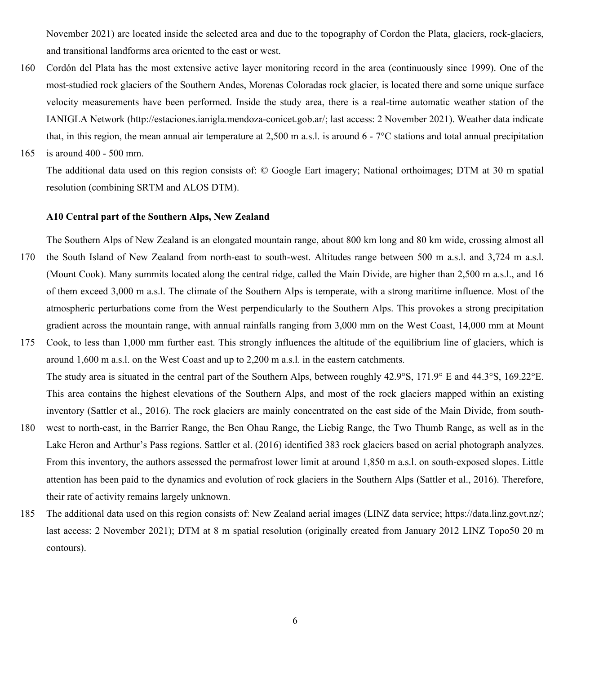November 2021) are located inside the selected area and due to the topography of Cordon the Plata, glaciers, rock-glaciers, and transitional landforms area oriented to the east or west.

- 160 Cordón del Plata has the most extensive active layer monitoring record in the area (continuously since 1999). One of the most-studied rock glaciers of the Southern Andes, Morenas Coloradas rock glacier, is located there and some unique surface velocity measurements have been performed. Inside the study area, there is a real-time automatic weather station of the IANIGLA Network (http://estaciones.ianigla.mendoza-conicet.gob.ar/; last access: 2 November 2021). Weather data indicate that, in this region, the mean annual air temperature at 2,500 m a.s.l. is around 6 - 7°C stations and total annual precipitation
- 165 is around 400 500 mm.

The additional data used on this region consists of: © Google Eart imagery; National orthoimages; DTM at 30 m spatial resolution (combining SRTM and ALOS DTM).

# **A10 Central part of the Southern Alps, New Zealand**

The Southern Alps of New Zealand is an elongated mountain range, about 800 km long and 80 km wide, crossing almost all 170 the South Island of New Zealand from north-east to south-west. Altitudes range between 500 m a.s.l. and 3,724 m a.s.l. (Mount Cook). Many summits located along the central ridge, called the Main Divide, are higher than 2,500 m a.s.l., and 16 of them exceed 3,000 m a.s.l. The climate of the Southern Alps is temperate, with a strong maritime influence. Most of the atmospheric perturbations come from the West perpendicularly to the Southern Alps. This provokes a strong precipitation gradient across the mountain range, with annual rainfalls ranging from 3,000 mm on the West Coast, 14,000 mm at Mount

175 Cook, to less than 1,000 mm further east. This strongly influences the altitude of the equilibrium line of glaciers, which is around 1,600 m a.s.l. on the West Coast and up to 2,200 m a.s.l. in the eastern catchments. The study area is situated in the central part of the Southern Alps, between roughly 42.9°S, 171.9° E and 44.3°S, 169.22°E. This area contains the highest elevations of the Southern Alps, and most of the rock glaciers mapped within an existing

inventory (Sattler et al., 2016). The rock glaciers are mainly concentrated on the east side of the Main Divide, from south-

- 180 west to north-east, in the Barrier Range, the Ben Ohau Range, the Liebig Range, the Two Thumb Range, as well as in the Lake Heron and Arthur's Pass regions. Sattler et al. (2016) identified 383 rock glaciers based on aerial photograph analyzes. From this inventory, the authors assessed the permafrost lower limit at around 1,850 m a.s.l. on south-exposed slopes. Little attention has been paid to the dynamics and evolution of rock glaciers in the Southern Alps (Sattler et al., 2016). Therefore, their rate of activity remains largely unknown.
- 185 The additional data used on this region consists of: New Zealand aerial images (LINZ data service; https://data.linz.govt.nz/; last access: 2 November 2021); DTM at 8 m spatial resolution (originally created from January 2012 LINZ Topo50 20 m contours).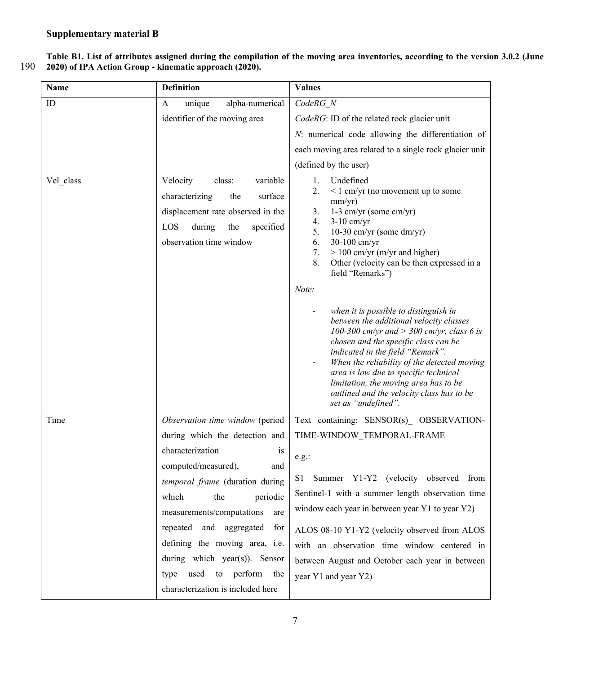**Table B1. List of attributes assigned during the compilation of the moving area inventories, according to the version 3.0.2 (June**  190 **2020) of IPA Action Group - kinematic approach (2020).** 

| Name      | <b>Definition</b>                                                                                                                                                                                                                                                                                                                                | <b>Values</b>                                                                                                                                                                                                                                                                                                                                                                                                                                      |  |
|-----------|--------------------------------------------------------------------------------------------------------------------------------------------------------------------------------------------------------------------------------------------------------------------------------------------------------------------------------------------------|----------------------------------------------------------------------------------------------------------------------------------------------------------------------------------------------------------------------------------------------------------------------------------------------------------------------------------------------------------------------------------------------------------------------------------------------------|--|
| ID        | unique<br>alpha-numerical<br>A                                                                                                                                                                                                                                                                                                                   | CodeRG N                                                                                                                                                                                                                                                                                                                                                                                                                                           |  |
|           | identifier of the moving area                                                                                                                                                                                                                                                                                                                    | CodeRG: ID of the related rock glacier unit                                                                                                                                                                                                                                                                                                                                                                                                        |  |
|           |                                                                                                                                                                                                                                                                                                                                                  | N: numerical code allowing the differentiation of                                                                                                                                                                                                                                                                                                                                                                                                  |  |
|           |                                                                                                                                                                                                                                                                                                                                                  | each moving area related to a single rock glacier unit                                                                                                                                                                                                                                                                                                                                                                                             |  |
|           |                                                                                                                                                                                                                                                                                                                                                  | (defined by the user)                                                                                                                                                                                                                                                                                                                                                                                                                              |  |
| Vel class | Velocity<br>class:<br>variable<br>surface<br>characterizing<br>the<br>displacement rate observed in the<br>LOS<br>during<br>the<br>specified<br>observation time window                                                                                                                                                                          | 1.<br>Undefined<br>2.<br>$\leq 1$ cm/yr (no movement up to some<br>mm/yr)<br>3.<br>1-3 cm/yr (some cm/yr)<br>4.<br>$3-10$ cm/yr<br>10-30 cm/yr (some dm/yr)<br>5.<br>30-100 cm/yr<br>6.<br>$> 100$ cm/yr (m/yr and higher)<br>7.<br>Other (velocity can be then expressed in a<br>8.<br>field "Remarks")<br>Note:<br>when it is possible to distinguish in<br>between the additional velocity classes<br>100-300 cm/yr and > 300 cm/yr, class 6 is |  |
|           |                                                                                                                                                                                                                                                                                                                                                  | chosen and the specific class can be<br>indicated in the field "Remark".<br>When the reliability of the detected moving<br>area is low due to specific technical<br>limitation, the moving area has to be<br>outlined and the velocity class has to be<br>set as "undefined".                                                                                                                                                                      |  |
| Time      | Observation time window (period                                                                                                                                                                                                                                                                                                                  | Text containing: SENSOR(s)_ OBSERVATION-                                                                                                                                                                                                                                                                                                                                                                                                           |  |
|           | during which the detection and                                                                                                                                                                                                                                                                                                                   | TIME-WINDOW TEMPORAL-FRAME                                                                                                                                                                                                                                                                                                                                                                                                                         |  |
|           | characterization<br><i>is</i><br>computed/measured),<br>and<br>temporal frame (duration during<br>which<br>the<br>periodic<br>measurements/computations<br>are<br>repeated and aggregated<br>for<br>defining the moving area, i.e.<br>during which year(s)). Sensor<br>perform<br>type<br>used<br>to<br>the<br>characterization is included here | e.g.:<br>Summer Y1-Y2 (velocity observed from<br>S1<br>Sentinel-1 with a summer length observation time<br>window each year in between year Y1 to year Y2)<br>ALOS 08-10 Y1-Y2 (velocity observed from ALOS<br>with an observation time window centered in<br>between August and October each year in between<br>year Y1 and year Y2)                                                                                                              |  |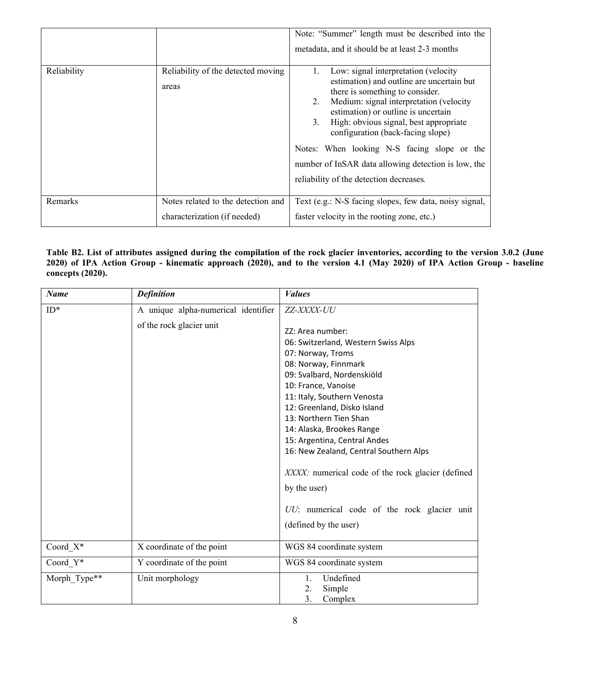|             |                                             | Note: "Summer" length must be described into the<br>metadata, and it should be at least 2-3 months                                                                                                                                                                                                                                                                                                                                                  |  |
|-------------|---------------------------------------------|-----------------------------------------------------------------------------------------------------------------------------------------------------------------------------------------------------------------------------------------------------------------------------------------------------------------------------------------------------------------------------------------------------------------------------------------------------|--|
| Reliability | Reliability of the detected moving<br>areas | Low: signal interpretation (velocity)<br>estimation) and outline are uncertain but<br>there is something to consider.<br>Medium: signal interpretation (velocity<br>2.<br>estimation) or outline is uncertain<br>High: obvious signal, best appropriate<br>3.<br>configuration (back-facing slope)<br>Notes: When looking N-S facing slope or the<br>number of InSAR data allowing detection is low, the<br>reliability of the detection decreases. |  |
| Remarks     | Notes related to the detection and          | Text (e.g.: N-S facing slopes, few data, noisy signal,                                                                                                                                                                                                                                                                                                                                                                                              |  |
|             | characterization (if needed)                | faster velocity in the rooting zone, etc.)                                                                                                                                                                                                                                                                                                                                                                                                          |  |

# **Table B2. List of attributes assigned during the compilation of the rock glacier inventories, according to the version 3.0.2 (June 2020) of IPA Action Group - kinematic approach (2020), and to the version 4.1 (May 2020) of IPA Action Group - baseline concepts (2020).**

| <b>Name</b>  | <b>Definition</b>                   | <b>Values</b>                                                                                                                                                                                                                                                                                                                                                                                                                                                                                         |
|--------------|-------------------------------------|-------------------------------------------------------------------------------------------------------------------------------------------------------------------------------------------------------------------------------------------------------------------------------------------------------------------------------------------------------------------------------------------------------------------------------------------------------------------------------------------------------|
| $ID*$        | A unique alpha-numerical identifier | ZZ-XXXX-UU                                                                                                                                                                                                                                                                                                                                                                                                                                                                                            |
|              | of the rock glacier unit            | ZZ: Area number:<br>06: Switzerland, Western Swiss Alps<br>07: Norway, Troms<br>08: Norway, Finnmark<br>09: Svalbard, Nordenskiöld<br>10: France, Vanoise<br>11: Italy, Southern Venosta<br>12: Greenland, Disko Island<br>13: Northern Tien Shan<br>14: Alaska, Brookes Range<br>15: Argentina, Central Andes<br>16: New Zealand, Central Southern Alps<br>XXXX: numerical code of the rock glacier (defined<br>by the user)<br>UU: numerical code of the rock glacier unit<br>(defined by the user) |
| Coord $X^*$  | X coordinate of the point           | WGS 84 coordinate system                                                                                                                                                                                                                                                                                                                                                                                                                                                                              |
|              |                                     |                                                                                                                                                                                                                                                                                                                                                                                                                                                                                                       |
| Coord Y*     | Y coordinate of the point           | WGS 84 coordinate system                                                                                                                                                                                                                                                                                                                                                                                                                                                                              |
| Morph Type** | Unit morphology                     | Undefined<br>1.<br>2.<br>Simple<br>3.<br>Complex                                                                                                                                                                                                                                                                                                                                                                                                                                                      |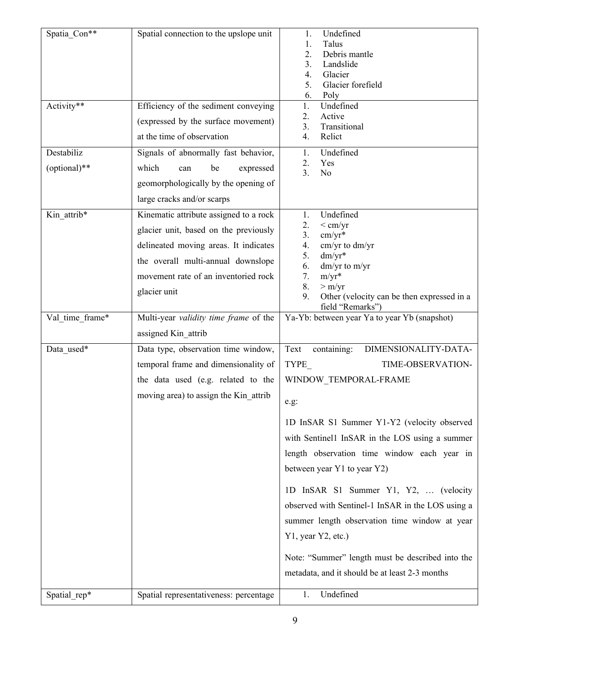| Spatia Con**    | Spatial connection to the upslope unit | Undefined<br>1.                                   |
|-----------------|----------------------------------------|---------------------------------------------------|
|                 |                                        | Talus<br>1.                                       |
|                 |                                        | 2.<br>Debris mantle                               |
|                 |                                        | Landslide<br>3.<br>Glacier<br>4.                  |
|                 |                                        | 5.<br>Glacier forefield                           |
|                 |                                        | 6.<br>Poly                                        |
| Activity**      | Efficiency of the sediment conveying   | Undefined<br>1.                                   |
|                 | (expressed by the surface movement)    | Active<br>2.<br>3.<br>Transitional                |
|                 | at the time of observation             | 4.<br>Relict                                      |
| Destabiliz      | Signals of abnormally fast behavior,   | Undefined<br>1.                                   |
| (optional)**    | which<br>be<br>expressed<br>can        | 2.<br>Yes<br>3.<br>N <sub>o</sub>                 |
|                 | geomorphologically by the opening of   |                                                   |
|                 | large cracks and/or scarps             |                                                   |
| Kin attrib*     | Kinematic attribute assigned to a rock | Undefined<br>1.<br>2.<br>$<$ cm/yr                |
|                 | glacier unit, based on the previously  | $cm/yr*$<br>3.                                    |
|                 | delineated moving areas. It indicates  | cm/yr to dm/yr<br>4.                              |
|                 | the overall multi-annual downslope     | $dm/yr*$<br>5.<br>6.<br>dm/yr to m/yr             |
|                 | movement rate of an inventoried rock   | $m/yr^*$<br>7.<br>8.<br>> m/yr                    |
|                 | glacier unit                           | Other (velocity can be then expressed in a<br>9.  |
|                 |                                        | field "Remarks")                                  |
| Val time frame* | Multi-year validity time frame of the  | Ya-Yb: between year Ya to year Yb (snapshot)      |
|                 | assigned Kin attrib                    |                                                   |
| Data_used*      | Data type, observation time window,    | DIMENSIONALITY-DATA-<br>Text<br>containing:       |
|                 | temporal frame and dimensionality of   | TYPE<br>TIME-OBSERVATION-                         |
|                 | the data used (e.g. related to the     | WINDOW_TEMPORAL-FRAME                             |
|                 | moving area) to assign the Kin_attrib  | e.g:                                              |
|                 |                                        | 1D InSAR S1 Summer Y1-Y2 (velocity observed       |
|                 |                                        | with Sentinell InSAR in the LOS using a summer    |
|                 |                                        |                                                   |
|                 |                                        | length observation time window each year in       |
|                 |                                        | between year Y1 to year Y2)                       |
|                 |                                        | 1D InSAR S1 Summer Y1, Y2,  (velocity             |
|                 |                                        | observed with Sentinel-1 InSAR in the LOS using a |
|                 |                                        | summer length observation time window at year     |
|                 |                                        | Y1, year Y2, etc.)                                |
|                 |                                        | Note: "Summer" length must be described into the  |
|                 |                                        | metadata, and it should be at least 2-3 months    |
|                 |                                        |                                                   |
| Spatial_rep*    | Spatial representativeness: percentage | Undefined<br>1.                                   |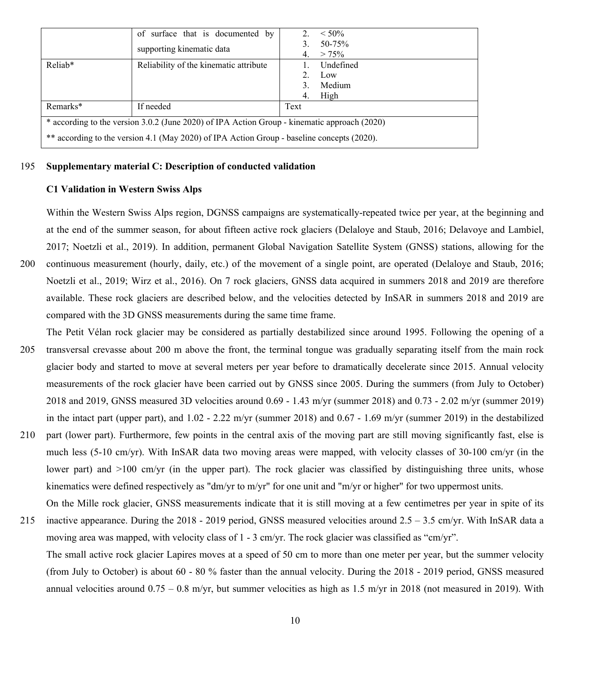|                                                                                              | of surface that is documented by       | 2.   | $< 50\%$           |  |
|----------------------------------------------------------------------------------------------|----------------------------------------|------|--------------------|--|
|                                                                                              | supporting kinematic data              |      | 50-75%<br>$> 75\%$ |  |
| Reliab*                                                                                      | Reliability of the kinematic attribute |      | Undefined          |  |
|                                                                                              |                                        |      | 2. Low             |  |
|                                                                                              |                                        |      | Medium             |  |
|                                                                                              |                                        | 4.   | High               |  |
| Remarks*                                                                                     | If needed                              | Text |                    |  |
| * according to the version 3.0.2 (June 2020) of IPA Action Group - kinematic approach (2020) |                                        |      |                    |  |
| ** according to the version 4.1 (May 2020) of IPA Action Group - baseline concepts (2020).   |                                        |      |                    |  |

## 195 **Supplementary material C: Description of conducted validation**

# **C1 Validation in Western Swiss Alps**

Within the Western Swiss Alps region, DGNSS campaigns are systematically-repeated twice per year, at the beginning and at the end of the summer season, for about fifteen active rock glaciers (Delaloye and Staub, 2016; Delavoye and Lambiel, 2017; Noetzli et al., 2019). In addition, permanent Global Navigation Satellite System (GNSS) stations, allowing for the

- 200 continuous measurement (hourly, daily, etc.) of the movement of a single point, are operated (Delaloye and Staub, 2016; Noetzli et al., 2019; Wirz et al., 2016). On 7 rock glaciers, GNSS data acquired in summers 2018 and 2019 are therefore available. These rock glaciers are described below, and the velocities detected by InSAR in summers 2018 and 2019 are compared with the 3D GNSS measurements during the same time frame.
- The Petit Vélan rock glacier may be considered as partially destabilized since around 1995. Following the opening of a 205 transversal crevasse about 200 m above the front, the terminal tongue was gradually separating itself from the main rock glacier body and started to move at several meters per year before to dramatically decelerate since 2015. Annual velocity measurements of the rock glacier have been carried out by GNSS since 2005. During the summers (from July to October) 2018 and 2019, GNSS measured 3D velocities around 0.69 - 1.43 m/yr (summer 2018) and 0.73 - 2.02 m/yr (summer 2019) in the intact part (upper part), and 1.02 - 2.22 m/yr (summer 2018) and 0.67 - 1.69 m/yr (summer 2019) in the destabilized
- 210 part (lower part). Furthermore, few points in the central axis of the moving part are still moving significantly fast, else is much less (5-10 cm/yr). With InSAR data two moving areas were mapped, with velocity classes of 30-100 cm/yr (in the lower part) and >100 cm/yr (in the upper part). The rock glacier was classified by distinguishing three units, whose kinematics were defined respectively as "dm/yr to m/yr" for one unit and "m/yr or higher" for two uppermost units.
- On the Mille rock glacier, GNSS measurements indicate that it is still moving at a few centimetres per year in spite of its 215 inactive appearance. During the 2018 - 2019 period, GNSS measured velocities around 2.5 – 3.5 cm/yr. With InSAR data a moving area was mapped, with velocity class of 1 - 3 cm/yr. The rock glacier was classified as "cm/yr".
	- The small active rock glacier Lapires moves at a speed of 50 cm to more than one meter per year, but the summer velocity (from July to October) is about 60 - 80 % faster than the annual velocity. During the 2018 - 2019 period, GNSS measured annual velocities around  $0.75 - 0.8$  m/yr, but summer velocities as high as 1.5 m/yr in 2018 (not measured in 2019). With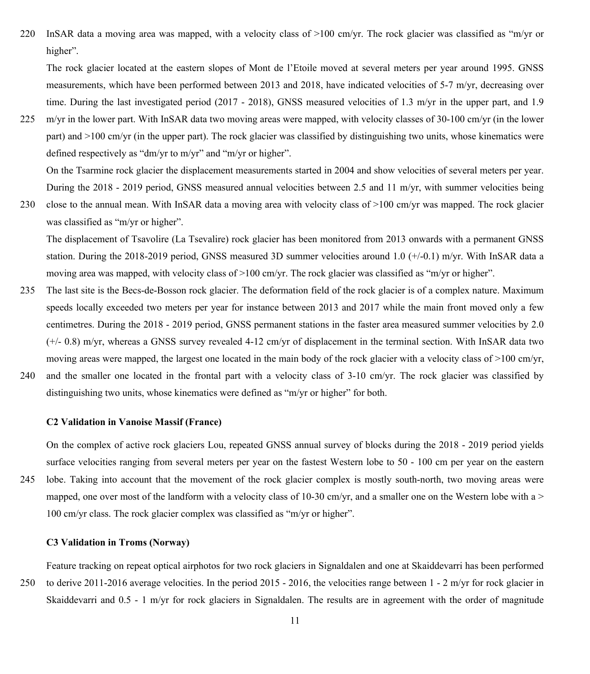220 InSAR data a moving area was mapped, with a velocity class of >100 cm/yr. The rock glacier was classified as "m/yr or higher".

The rock glacier located at the eastern slopes of Mont de l'Etoile moved at several meters per year around 1995. GNSS measurements, which have been performed between 2013 and 2018, have indicated velocities of 5-7 m/yr, decreasing over time. During the last investigated period (2017 - 2018), GNSS measured velocities of 1.3 m/yr in the upper part, and 1.9

225 m/yr in the lower part. With InSAR data two moving areas were mapped, with velocity classes of 30-100 cm/yr (in the lower part) and >100 cm/yr (in the upper part). The rock glacier was classified by distinguishing two units, whose kinematics were defined respectively as "dm/yr to m/yr" and "m/yr or higher".

On the Tsarmine rock glacier the displacement measurements started in 2004 and show velocities of several meters per year. During the 2018 - 2019 period, GNSS measured annual velocities between 2.5 and 11 m/yr, with summer velocities being

230 close to the annual mean. With InSAR data a moving area with velocity class of >100 cm/yr was mapped. The rock glacier was classified as "m/yr or higher".

The displacement of Tsavolire (La Tsevalire) rock glacier has been monitored from 2013 onwards with a permanent GNSS station. During the 2018-2019 period, GNSS measured 3D summer velocities around 1.0 (+/-0.1) m/yr. With InSAR data a moving area was mapped, with velocity class of >100 cm/yr. The rock glacier was classified as "m/yr or higher".

- 235 The last site is the Becs-de-Bosson rock glacier. The deformation field of the rock glacier is of a complex nature. Maximum speeds locally exceeded two meters per year for instance between 2013 and 2017 while the main front moved only a few centimetres. During the 2018 - 2019 period, GNSS permanent stations in the faster area measured summer velocities by 2.0 (+/- 0.8) m/yr, whereas a GNSS survey revealed 4-12 cm/yr of displacement in the terminal section. With InSAR data two moving areas were mapped, the largest one located in the main body of the rock glacier with a velocity class of >100 cm/yr,
- 240 and the smaller one located in the frontal part with a velocity class of 3-10 cm/yr. The rock glacier was classified by distinguishing two units, whose kinematics were defined as "m/yr or higher" for both.

## **C2 Validation in Vanoise Massif (France)**

On the complex of active rock glaciers Lou, repeated GNSS annual survey of blocks during the 2018 - 2019 period yields surface velocities ranging from several meters per year on the fastest Western lobe to 50 - 100 cm per year on the eastern 245 lobe. Taking into account that the movement of the rock glacier complex is mostly south-north, two moving areas were mapped, one over most of the landform with a velocity class of 10-30 cm/yr, and a smaller one on the Western lobe with a  $>$ 100 cm/yr class. The rock glacier complex was classified as "m/yr or higher".

## **C3 Validation in Troms (Norway)**

Feature tracking on repeat optical airphotos for two rock glaciers in Signaldalen and one at Skaiddevarri has been performed 250 to derive 2011-2016 average velocities. In the period 2015 - 2016, the velocities range between 1 - 2 m/yr for rock glacier in Skaiddevarri and 0.5 - 1 m/yr for rock glaciers in Signaldalen. The results are in agreement with the order of magnitude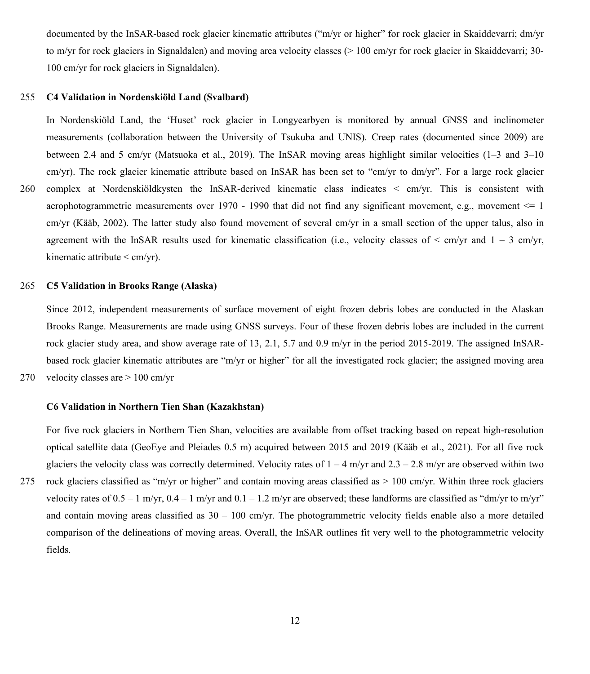documented by the InSAR-based rock glacier kinematic attributes ("m/yr or higher" for rock glacier in Skaiddevarri; dm/yr to m/yr for rock glaciers in Signaldalen) and moving area velocity classes (> 100 cm/yr for rock glacier in Skaiddevarri; 30- 100 cm/yr for rock glaciers in Signaldalen).

### 255 **C4 Validation in Nordenskiöld Land (Svalbard)**

In Nordenskiöld Land, the 'Huset' rock glacier in Longyearbyen is monitored by annual GNSS and inclinometer measurements (collaboration between the University of Tsukuba and UNIS). Creep rates (documented since 2009) are between 2.4 and 5 cm/yr (Matsuoka et al., 2019). The InSAR moving areas highlight similar velocities (1–3 and 3–10 cm/yr). The rock glacier kinematic attribute based on InSAR has been set to "cm/yr to dm/yr". For a large rock glacier 260 complex at Nordenskiöldkysten the InSAR-derived kinematic class indicates < cm/yr. This is consistent with aerophotogrammetric measurements over 1970 - 1990 that did not find any significant movement, e.g., movement <= 1 cm/yr (Kääb, 2002). The latter study also found movement of several cm/yr in a small section of the upper talus, also in agreement with the InSAR results used for kinematic classification (i.e., velocity classes of  $\leq$  cm/yr and  $1 - 3$  cm/yr, kinematic attribute < cm/yr).

### 265 **C5 Validation in Brooks Range (Alaska)**

Since 2012, independent measurements of surface movement of eight frozen debris lobes are conducted in the Alaskan Brooks Range. Measurements are made using GNSS surveys. Four of these frozen debris lobes are included in the current rock glacier study area, and show average rate of 13, 2.1, 5.7 and 0.9 m/yr in the period 2015-2019. The assigned InSARbased rock glacier kinematic attributes are "m/yr or higher" for all the investigated rock glacier; the assigned moving area

270 velocity classes are > 100 cm/yr

## **C6 Validation in Northern Tien Shan (Kazakhstan)**

For five rock glaciers in Northern Tien Shan, velocities are available from offset tracking based on repeat high-resolution optical satellite data (GeoEye and Pleiades 0.5 m) acquired between 2015 and 2019 (Kääb et al., 2021). For all five rock glaciers the velocity class was correctly determined. Velocity rates of  $1 - 4$  m/yr and  $2.3 - 2.8$  m/yr are observed within two 275 rock glaciers classified as "m/yr or higher" and contain moving areas classified as > 100 cm/yr. Within three rock glaciers velocity rates of  $0.5 - 1$  m/yr,  $0.4 - 1$  m/yr and  $0.1 - 1.2$  m/yr are observed; these landforms are classified as "dm/yr to m/yr" and contain moving areas classified as  $30 - 100$  cm/yr. The photogrammetric velocity fields enable also a more detailed comparison of the delineations of moving areas. Overall, the InSAR outlines fit very well to the photogrammetric velocity fields.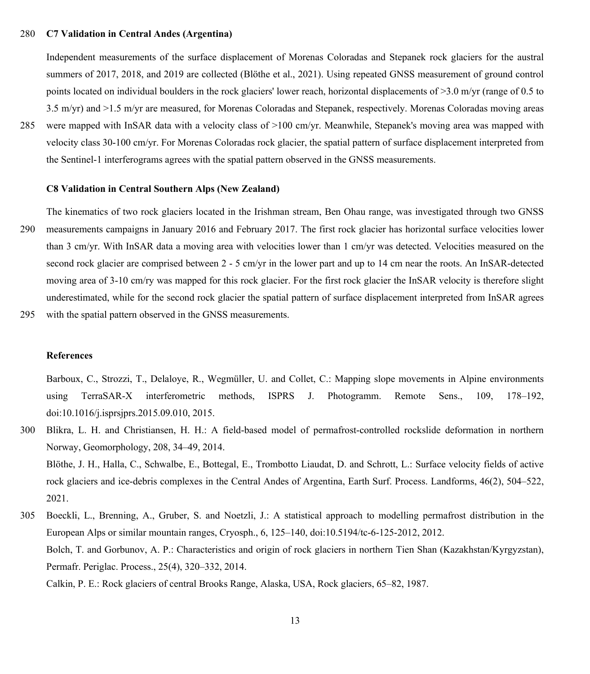## 280 **C7 Validation in Central Andes (Argentina)**

Independent measurements of the surface displacement of Morenas Coloradas and Stepanek rock glaciers for the austral summers of 2017, 2018, and 2019 are collected (Blöthe et al., 2021). Using repeated GNSS measurement of ground control points located on individual boulders in the rock glaciers' lower reach, horizontal displacements of >3.0 m/yr (range of 0.5 to 3.5 m/yr) and >1.5 m/yr are measured, for Morenas Coloradas and Stepanek, respectively. Morenas Coloradas moving areas

285 were mapped with InSAR data with a velocity class of >100 cm/yr. Meanwhile, Stepanek's moving area was mapped with velocity class 30-100 cm/yr. For Morenas Coloradas rock glacier, the spatial pattern of surface displacement interpreted from the Sentinel-1 interferograms agrees with the spatial pattern observed in the GNSS measurements.

### **C8 Validation in Central Southern Alps (New Zealand)**

The kinematics of two rock glaciers located in the Irishman stream, Ben Ohau range, was investigated through two GNSS 290 measurements campaigns in January 2016 and February 2017. The first rock glacier has horizontal surface velocities lower than 3 cm/yr. With InSAR data a moving area with velocities lower than 1 cm/yr was detected. Velocities measured on the second rock glacier are comprised between 2 - 5 cm/yr in the lower part and up to 14 cm near the roots. An InSAR-detected moving area of 3-10 cm/ry was mapped for this rock glacier. For the first rock glacier the InSAR velocity is therefore slight underestimated, while for the second rock glacier the spatial pattern of surface displacement interpreted from InSAR agrees 295 with the spatial pattern observed in the GNSS measurements.

# **References**

Barboux, C., Strozzi, T., Delaloye, R., Wegmüller, U. and Collet, C.: Mapping slope movements in Alpine environments using TerraSAR-X interferometric methods, ISPRS J. Photogramm. Remote Sens., 109, 178–192, doi:10.1016/j.isprsjprs.2015.09.010, 2015.

300 Blikra, L. H. and Christiansen, H. H.: A field-based model of permafrost-controlled rockslide deformation in northern Norway, Geomorphology, 208, 34–49, 2014. Blöthe, J. H., Halla, C., Schwalbe, E., Bottegal, E., Trombotto Liaudat, D. and Schrott, L.: Surface velocity fields of active rock glaciers and ice-debris complexes in the Central Andes of Argentina, Earth Surf. Process. Landforms, 46(2), 504–522, 2021.

305 Boeckli, L., Brenning, A., Gruber, S. and Noetzli, J.: A statistical approach to modelling permafrost distribution in the European Alps or similar mountain ranges, Cryosph., 6, 125–140, doi:10.5194/tc-6-125-2012, 2012. Bolch, T. and Gorbunov, A. P.: Characteristics and origin of rock glaciers in northern Tien Shan (Kazakhstan/Kyrgyzstan), Permafr. Periglac. Process., 25(4), 320–332, 2014. Calkin, P. E.: Rock glaciers of central Brooks Range, Alaska, USA, Rock glaciers, 65–82, 1987.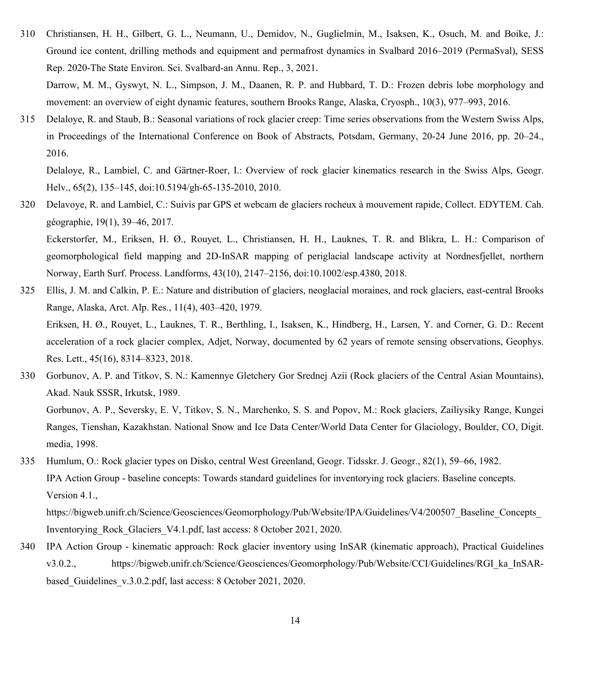310 Christiansen, H. H., Gilbert, G. L., Neumann, U., Demidov, N., Guglielmin, M., Isaksen, K., Osuch, M. and Boike, J.: Ground ice content, drilling methods and equipment and permafrost dynamics in Svalbard 2016–2019 (PermaSval), SESS Rep. 2020-The State Environ. Sci. Svalbard-an Annu. Rep., 3, 2021.

Darrow, M. M., Gyswyt, N. L., Simpson, J. M., Daanen, R. P. and Hubbard, T. D.: Frozen debris lobe morphology and movement: an overview of eight dynamic features, southern Brooks Range, Alaska, Cryosph., 10(3), 977–993, 2016.

315 Delaloye, R. and Staub, B.: Seasonal variations of rock glacier creep: Time series observations from the Western Swiss Alps, in Proceedings of the International Conference on Book of Abstracts, Potsdam, Germany, 20-24 June 2016, pp. 20–24., 2016.

Delaloye, R., Lambiel, C. and Gärtner-Roer, I.: Overview of rock glacier kinematics research in the Swiss Alps, Geogr. Helv., 65(2), 135–145, doi:10.5194/gh-65-135-2010, 2010.

320 Delavoye, R. and Lambiel, C.: Suivis par GPS et webcam de glaciers rocheux à mouvement rapide, Collect. EDYTEM. Cah. géographie, 19(1), 39–46, 2017. Eckerstorfer, M., Eriksen, H. Ø., Rouyet, L., Christiansen, H. H., Lauknes, T. R. and Blikra, L. H.: Comparison of geomorphological field mapping and 2D-InSAR mapping of periglacial landscape activity at Nordnesfjellet, northern

Norway, Earth Surf. Process. Landforms, 43(10), 2147–2156, doi:10.1002/esp.4380, 2018.

- 325 Ellis, J. M. and Calkin, P. E.: Nature and distribution of glaciers, neoglacial moraines, and rock glaciers, east-central Brooks Range, Alaska, Arct. Alp. Res., 11(4), 403–420, 1979. Eriksen, H. Ø., Rouyet, L., Lauknes, T. R., Berthling, I., Isaksen, K., Hindberg, H., Larsen, Y. and Corner, G. D.: Recent acceleration of a rock glacier complex, Adjet, Norway, documented by 62 years of remote sensing observations, Geophys. Res. Lett., 45(16), 8314–8323, 2018.
- 330 Gorbunov, A. P. and Titkov, S. N.: Kamennye Gletchery Gor Srednej Azii (Rock glaciers of the Central Asian Mountains), Akad. Nauk SSSR, Irkutsk, 1989.

Gorbunov, A. P., Seversky, E. V, Titkov, S. N., Marchenko, S. S. and Popov, M.: Rock glaciers, Zailiysiky Range, Kungei Ranges, Tienshan, Kazakhstan. National Snow and Ice Data Center/World Data Center for Glaciology, Boulder, CO, Digit. media, 1998.

335 Humlum, O.: Rock glacier types on Disko, central West Greenland, Geogr. Tidsskr. J. Geogr., 82(1), 59–66, 1982. IPA Action Group - baseline concepts: Towards standard guidelines for inventorying rock glaciers. Baseline concepts. Version 4.1.,

https://bigweb.unifr.ch/Science/Geosciences/Geomorphology/Pub/Website/IPA/Guidelines/V4/200507\_Baseline\_Concepts\_ Inventorying\_Rock\_Glaciers\_V4.1.pdf, last access: 8 October 2021, 2020.

340 IPA Action Group - kinematic approach: Rock glacier inventory using InSAR (kinematic approach), Practical Guidelines v3.0.2., https://bigweb.unifr.ch/Science/Geosciences/Geomorphology/Pub/Website/CCI/Guidelines/RGI\_ka\_InSARbased Guidelines v.3.0.2.pdf, last access: 8 October 2021, 2020.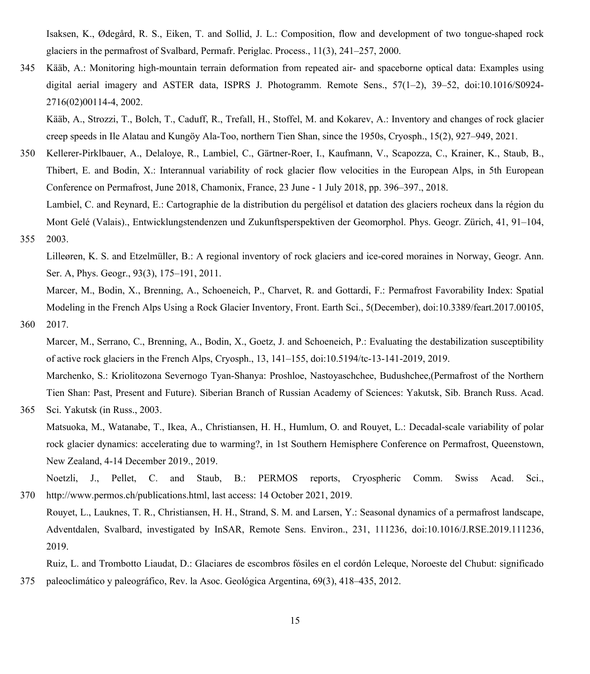Isaksen, K., Ødegård, R. S., Eiken, T. and Sollid, J. L.: Composition, flow and development of two tongue‐shaped rock glaciers in the permafrost of Svalbard, Permafr. Periglac. Process., 11(3), 241–257, 2000.

345 Kääb, A.: Monitoring high-mountain terrain deformation from repeated air- and spaceborne optical data: Examples using digital aerial imagery and ASTER data, ISPRS J. Photogramm. Remote Sens., 57(1–2), 39–52, doi:10.1016/S0924- 2716(02)00114-4, 2002.

Kääb, A., Strozzi, T., Bolch, T., Caduff, R., Trefall, H., Stoffel, M. and Kokarev, A.: Inventory and changes of rock glacier creep speeds in Ile Alatau and Kungöy Ala-Too, northern Tien Shan, since the 1950s, Cryosph., 15(2), 927–949, 2021.

350 Kellerer-Pirklbauer, A., Delaloye, R., Lambiel, C., Gärtner-Roer, I., Kaufmann, V., Scapozza, C., Krainer, K., Staub, B., Thibert, E. and Bodin, X.: Interannual variability of rock glacier flow velocities in the European Alps, in 5th European Conference on Permafrost, June 2018, Chamonix, France, 23 June - 1 July 2018, pp. 396–397., 2018.

Lambiel, C. and Reynard, E.: Cartographie de la distribution du pergélisol et datation des glaciers rocheux dans la région du Mont Gelé (Valais)., Entwicklungstendenzen und Zukunftsperspektiven der Geomorphol. Phys. Geogr. Zürich, 41, 91–104, 355 2003.

Lilleøren, K. S. and Etzelmüller, B.: A regional inventory of rock glaciers and ice‐cored moraines in Norway, Geogr. Ann. Ser. A, Phys. Geogr., 93(3), 175–191, 2011.

Marcer, M., Bodin, X., Brenning, A., Schoeneich, P., Charvet, R. and Gottardi, F.: Permafrost Favorability Index: Spatial Modeling in the French Alps Using a Rock Glacier Inventory, Front. Earth Sci., 5(December), doi:10.3389/feart.2017.00105, 360 2017.

Marcer, M., Serrano, C., Brenning, A., Bodin, X., Goetz, J. and Schoeneich, P.: Evaluating the destabilization susceptibility of active rock glaciers in the French Alps, Cryosph., 13, 141–155, doi:10.5194/tc-13-141-2019, 2019.

Marchenko, S.: Kriolitozona Severnogo Tyan-Shanya: Proshloe, Nastoyaschchee, Budushchee,(Permafrost of the Northern Tien Shan: Past, Present and Future). Siberian Branch of Russian Academy of Sciences: Yakutsk, Sib. Branch Russ. Acad.

365 Sci. Yakutsk (in Russ., 2003.

Matsuoka, M., Watanabe, T., Ikea, A., Christiansen, H. H., Humlum, O. and Rouyet, L.: Decadal-scale variability of polar rock glacier dynamics: accelerating due to warming?, in 1st Southern Hemisphere Conference on Permafrost, Queenstown, New Zealand, 4-14 December 2019., 2019.

Noetzli, J., Pellet, C. and Staub, B.: PERMOS reports, Cryospheric Comm. Swiss Acad. Sci., 370 http://www.permos.ch/publications.html, last access: 14 October 2021, 2019.

Rouyet, L., Lauknes, T. R., Christiansen, H. H., Strand, S. M. and Larsen, Y.: Seasonal dynamics of a permafrost landscape, Adventdalen, Svalbard, investigated by InSAR, Remote Sens. Environ., 231, 111236, doi:10.1016/J.RSE.2019.111236, 2019.

Ruiz, L. and Trombotto Liaudat, D.: Glaciares de escombros fósiles en el cordón Leleque, Noroeste del Chubut: significado 375 paleoclimático y paleográfico, Rev. la Asoc. Geológica Argentina, 69(3), 418–435, 2012.